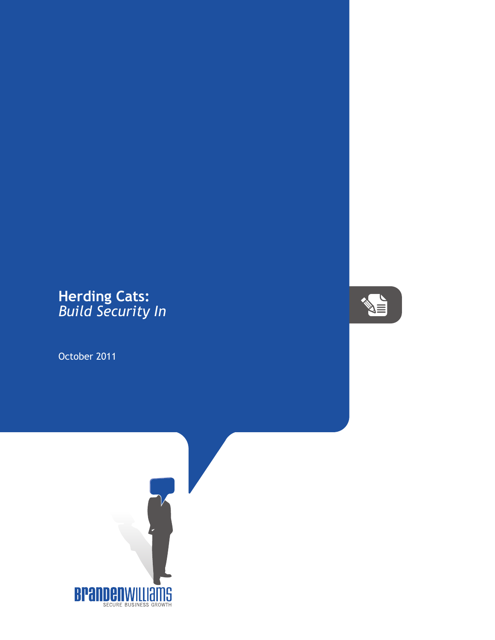## **Herding Cats:** *Build Security In*

October 2011



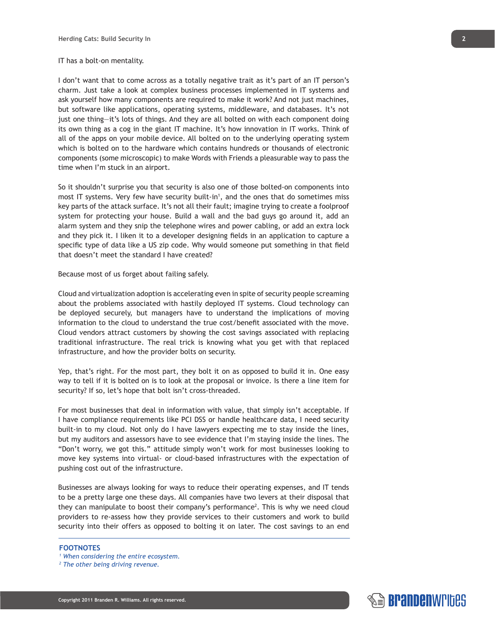## IT has a bolt-on mentality.

I don't want that to come across as a totally negative trait as it's part of an IT person's charm. Just take a look at complex business processes implemented in IT systems and ask yourself how many components are required to make it work? And not just machines, but software like applications, operating systems, middleware, and databases. It's not just one thing—it's lots of things. And they are all bolted on with each component doing its own thing as a cog in the giant IT machine. It's how innovation in IT works. Think of all of the apps on your mobile device. All bolted on to the underlying operating system which is bolted on to the hardware which contains hundreds or thousands of electronic components (some microscopic) to make Words with Friends a pleasurable way to pass the time when I'm stuck in an airport.

So it shouldn't surprise you that security is also one of those bolted-on components into most IT systems. Very few have security built-in<sup>1</sup>, and the ones that do sometimes miss key parts of the attack surface. It's not all their fault; imagine trying to create a foolproof system for protecting your house. Build a wall and the bad guys go around it, add an alarm system and they snip the telephone wires and power cabling, or add an extra lock and they pick it. I liken it to a developer designing fields in an application to capture a specific type of data like a US zip code. Why would someone put something in that field that doesn't meet the standard I have created?

Because most of us forget about failing safely.

Cloud and virtualization adoption is accelerating even in spite of security people screaming about the problems associated with hastily deployed IT systems. Cloud technology can be deployed securely, but managers have to understand the implications of moving information to the cloud to understand the true cost/benefit associated with the move. Cloud vendors attract customers by showing the cost savings associated with replacing traditional infrastructure. The real trick is knowing what you get with that replaced infrastructure, and how the provider bolts on security.

Yep, that's right. For the most part, they bolt it on as opposed to build it in. One easy way to tell if it is bolted on is to look at the proposal or invoice. Is there a line item for security? If so, let's hope that bolt isn't cross-threaded.

For most businesses that deal in information with value, that simply isn't acceptable. If I have compliance requirements like PCI DSS or handle healthcare data, I need security built-in to my cloud. Not only do I have lawyers expecting me to stay inside the lines, but my auditors and assessors have to see evidence that I'm staying inside the lines. The "Don't worry, we got this." attitude simply won't work for most businesses looking to move key systems into virtual- or cloud-based infrastructures with the expectation of pushing cost out of the infrastructure.

Businesses are always looking for ways to reduce their operating expenses, and IT tends to be a pretty large one these days. All companies have two levers at their disposal that they can manipulate to boost their company's performance<sup>2</sup>. This is why we need cloud providers to re-assess how they provide services to their customers and work to build security into their offers as opposed to bolting it on later. The cost savings to an end

## **FOOTNOTES**

*1 When considering the entire ecosystem.*



*<sup>2</sup> The other being driving revenue.*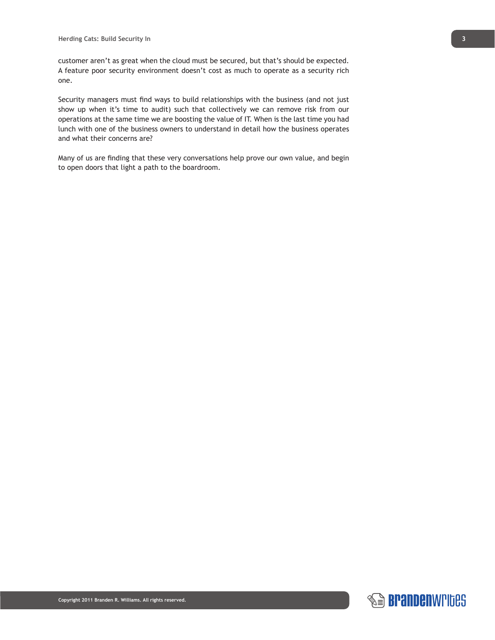customer aren't as great when the cloud must be secured, but that's should be expected. A feature poor security environment doesn't cost as much to operate as a security rich one.

Security managers must find ways to build relationships with the business (and not just show up when it's time to audit) such that collectively we can remove risk from our operations at the same time we are boosting the value of IT. When is the last time you had lunch with one of the business owners to understand in detail how the business operates and what their concerns are?

Many of us are finding that these very conversations help prove our own value, and begin to open doors that light a path to the boardroom.